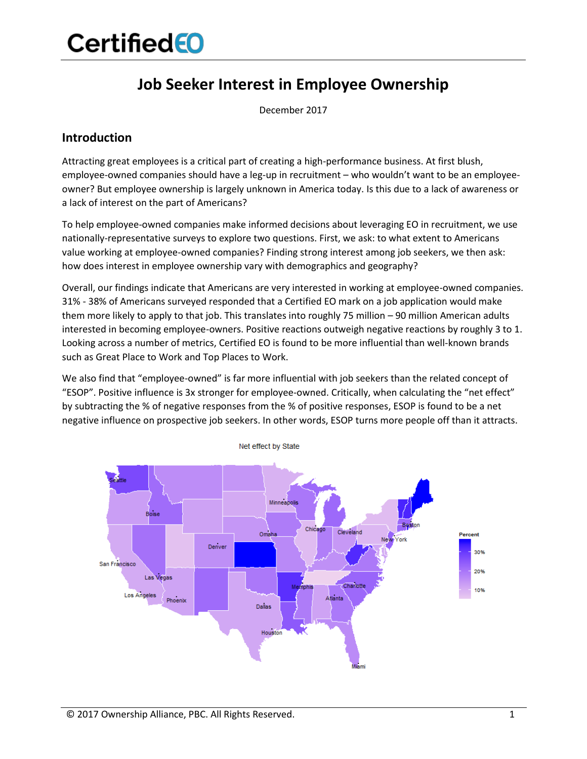### **Job Seeker Interest in Employee Ownership**

December 2017

#### **Introduction**

Attracting great employees is a critical part of creating a high-performance business. At first blush, employee-owned companies should have a leg-up in recruitment – who wouldn't want to be an employeeowner? But employee ownership is largely unknown in America today. Is this due to a lack of awareness or a lack of interest on the part of Americans?

To help employee-owned companies make informed decisions about leveraging EO in recruitment, we use nationally-representative surveys to explore two questions. First, we ask: to what extent to Americans value working at employee-owned companies? Finding strong interest among job seekers, we then ask: how does interest in employee ownership vary with demographics and geography?

Overall, our findings indicate that Americans are very interested in working at employee-owned companies. 31% - 38% of Americans surveyed responded that a Certified EO mark on a job application would make them more likely to apply to that job. This translates into roughly 75 million – 90 million American adults interested in becoming employee-owners. Positive reactions outweigh negative reactions by roughly 3 to 1. Looking across a number of metrics, Certified EO is found to be more influential than well-known brands such as Great Place to Work and Top Places to Work.

We also find that "employee-owned" is far more influential with job seekers than the related concept of "ESOP". Positive influence is 3x stronger for employee-owned. Critically, when calculating the "net effect" by subtracting the % of negative responses from the % of positive responses, ESOP is found to be a net negative influence on prospective job seekers. In other words, ESOP turns more people off than it attracts.



© 2017 Ownership Alliance, PBC. All Rights Reserved. 1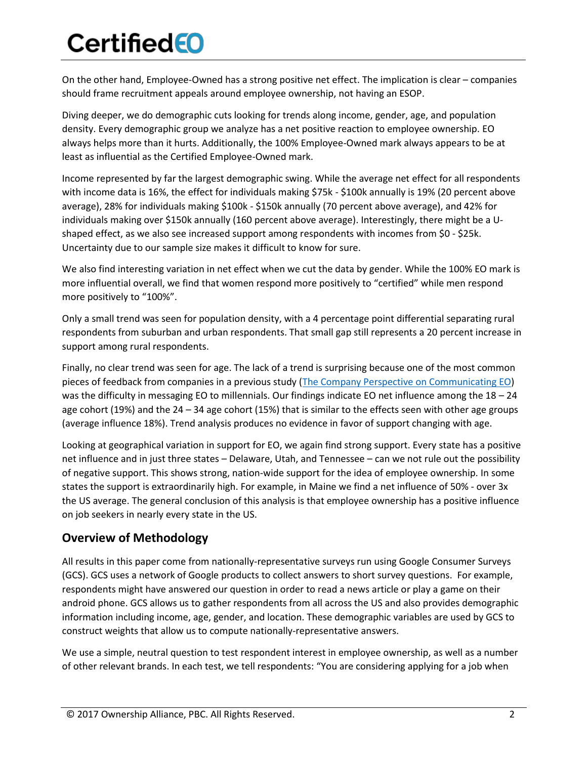On the other hand, Employee-Owned has a strong positive net effect. The implication is clear – companies should frame recruitment appeals around employee ownership, not having an ESOP.

Diving deeper, we do demographic cuts looking for trends along income, gender, age, and population density. Every demographic group we analyze has a net positive reaction to employee ownership. EO always helps more than it hurts. Additionally, the 100% Employee-Owned mark always appears to be at least as influential as the Certified Employee-Owned mark.

Income represented by far the largest demographic swing. While the average net effect for all respondents with income data is 16%, the effect for individuals making \$75k - \$100k annually is 19% (20 percent above average), 28% for individuals making \$100k - \$150k annually (70 percent above average), and 42% for individuals making over \$150k annually (160 percent above average). Interestingly, there might be a Ushaped effect, as we also see increased support among respondents with incomes from \$0 - \$25k. Uncertainty due to our sample size makes it difficult to know for sure.

We also find interesting variation in net effect when we cut the data by gender. While the 100% EO mark is more influential overall, we find that women respond more positively to "certified" while men respond more positively to "100%".

Only a small trend was seen for population density, with a 4 percentage point differential separating rural respondents from suburban and urban respondents. That small gap still represents a 20 percent increase in support among rural respondents.

Finally, no clear trend was seen for age. The lack of a trend is surprising because one of the most common pieces of feedback from companies in a previous study [\(The Company Perspective on Communicating EO\)](https://www.certifiedeo.com/documents/the-company-perspective-on-communicating-eo) was the difficulty in messaging EO to millennials. Our findings indicate EO net influence among the 18 - 24 age cohort (19%) and the 24 – 34 age cohort (15%) that is similar to the effects seen with other age groups (average influence 18%). Trend analysis produces no evidence in favor of support changing with age.

Looking at geographical variation in support for EO, we again find strong support. Every state has a positive net influence and in just three states – Delaware, Utah, and Tennessee – can we not rule out the possibility of negative support. This shows strong, nation-wide support for the idea of employee ownership. In some states the support is extraordinarily high. For example, in Maine we find a net influence of 50% - over 3x the US average. The general conclusion of this analysis is that employee ownership has a positive influence on job seekers in nearly every state in the US.

#### **Overview of Methodology**

All results in this paper come from nationally-representative surveys run using Google Consumer Surveys (GCS). GCS uses a network of Google products to collect answers to short survey questions. For example, respondents might have answered our question in order to read a news article or play a game on their android phone. GCS allows us to gather respondents from all across the US and also provides demographic information including income, age, gender, and location. These demographic variables are used by GCS to construct weights that allow us to compute nationally-representative answers.

We use a simple, neutral question to test respondent interest in employee ownership, as well as a number of other relevant brands. In each test, we tell respondents: "You are considering applying for a job when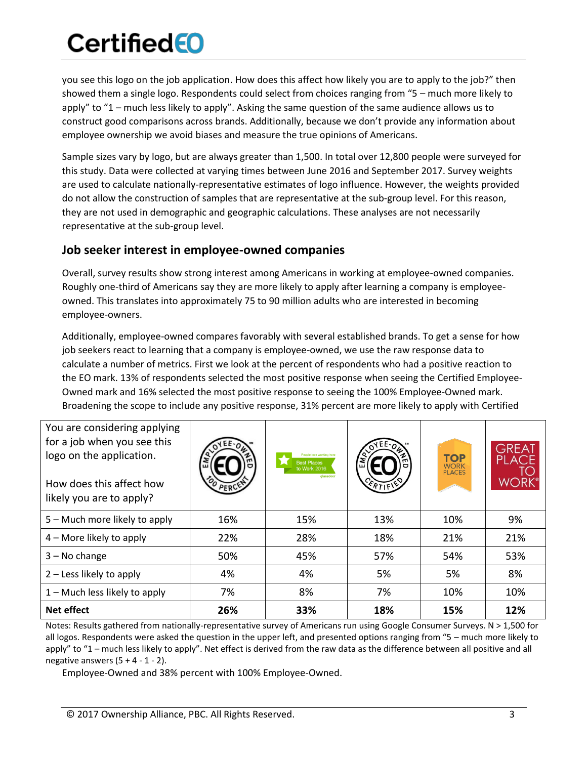you see this logo on the job application. How does this affect how likely you are to apply to the job?" then showed them a single logo. Respondents could select from choices ranging from "5 – much more likely to apply" to "1 – much less likely to apply". Asking the same question of the same audience allows us to construct good comparisons across brands. Additionally, because we don't provide any information about employee ownership we avoid biases and measure the true opinions of Americans.

Sample sizes vary by logo, but are always greater than 1,500. In total over 12,800 people were surveyed for this study. Data were collected at varying times between June 2016 and September 2017. Survey weights are used to calculate nationally-representative estimates of logo influence. However, the weights provided do not allow the construction of samples that are representative at the sub-group level. For this reason, they are not used in demographic and geographic calculations. These analyses are not necessarily representative at the sub-group level.

#### **Job seeker interest in employee-owned companies**

Overall, survey results show strong interest among Americans in working at employee-owned companies. Roughly one-third of Americans say they are more likely to apply after learning a company is employeeowned. This translates into approximately 75 to 90 million adults who are interested in becoming employee-owners.

Additionally, employee-owned compares favorably with several established brands. To get a sense for how job seekers react to learning that a company is employee-owned, we use the raw response data to calculate a number of metrics. First we look at the percent of respondents who had a positive reaction to the EO mark. 13% of respondents selected the most positive response when seeing the Certified Employee-Owned mark and 16% selected the most positive response to seeing the 100% Employee-Owned mark. Broadening the scope to include any positive response, 31% percent are more likely to apply with Certified

| You are considering applying<br>for a job when you see this<br>logo on the application.<br>How does this affect how<br>likely you are to apply? |     | People love working here<br><b>Best Places</b><br>to Work 2016<br>glassdoor | ERTIFIE | <b>TOP</b><br><b>WORK</b><br><b>PLACES</b> | <b>GREAT</b><br>PLACE<br>WORI |
|-------------------------------------------------------------------------------------------------------------------------------------------------|-----|-----------------------------------------------------------------------------|---------|--------------------------------------------|-------------------------------|
| 5 – Much more likely to apply                                                                                                                   | 16% | 15%                                                                         | 13%     | 10%                                        | 9%                            |
| 4 - More likely to apply                                                                                                                        | 22% | 28%                                                                         | 18%     | 21%                                        | 21%                           |
| $3 - No change$                                                                                                                                 | 50% | 45%                                                                         | 57%     | 54%                                        | 53%                           |
| 2 – Less likely to apply                                                                                                                        | 4%  | 4%                                                                          | 5%      | 5%                                         | 8%                            |
| $1 -$ Much less likely to apply                                                                                                                 | 7%  | 8%                                                                          | 7%      | 10%                                        | 10%                           |
| Net effect                                                                                                                                      | 26% | 33%                                                                         | 18%     | 15%                                        | 12%                           |

Notes: Results gathered from nationally-representative survey of Americans run using Google Consumer Surveys. N > 1,500 for all logos. Respondents were asked the question in the upper left, and presented options ranging from "5 – much more likely to apply" to "1 – much less likely to apply". Net effect is derived from the raw data as the difference between all positive and all negative answers  $(5 + 4 - 1 - 2)$ .

Employee-Owned and 38% percent with 100% Employee-Owned.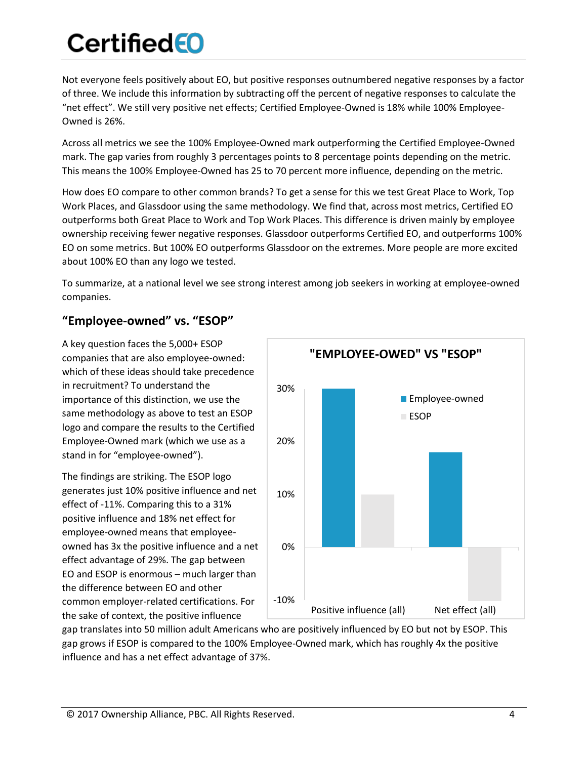Not everyone feels positively about EO, but positive responses outnumbered negative responses by a factor of three. We include this information by subtracting off the percent of negative responses to calculate the "net effect". We still very positive net effects; Certified Employee-Owned is 18% while 100% Employee-Owned is 26%.

Across all metrics we see the 100% Employee-Owned mark outperforming the Certified Employee-Owned mark. The gap varies from roughly 3 percentages points to 8 percentage points depending on the metric. This means the 100% Employee-Owned has 25 to 70 percent more influence, depending on the metric.

How does EO compare to other common brands? To get a sense for this we test Great Place to Work, Top Work Places, and Glassdoor using the same methodology. We find that, across most metrics, Certified EO outperforms both Great Place to Work and Top Work Places. This difference is driven mainly by employee ownership receiving fewer negative responses. Glassdoor outperforms Certified EO, and outperforms 100% EO on some metrics. But 100% EO outperforms Glassdoor on the extremes. More people are more excited about 100% EO than any logo we tested.

To summarize, at a national level we see strong interest among job seekers in working at employee-owned companies.

### **"Employee-owned" vs. "ESOP"**

A key question faces the 5,000+ ESOP companies that are also employee-owned: which of these ideas should take precedence in recruitment? To understand the importance of this distinction, we use the same methodology as above to test an ESOP logo and compare the results to the Certified Employee-Owned mark (which we use as a stand in for "employee-owned").

The findings are striking. The ESOP logo generates just 10% positive influence and net effect of -11%. Comparing this to a 31% positive influence and 18% net effect for employee-owned means that employeeowned has 3x the positive influence and a net effect advantage of 29%. The gap between EO and ESOP is enormous – much larger than the difference between EO and other common employer-related certifications. For the sake of context, the positive influence



gap translates into 50 million adult Americans who are positively influenced by EO but not by ESOP. This gap grows if ESOP is compared to the 100% Employee-Owned mark, which has roughly 4x the positive influence and has a net effect advantage of 37%.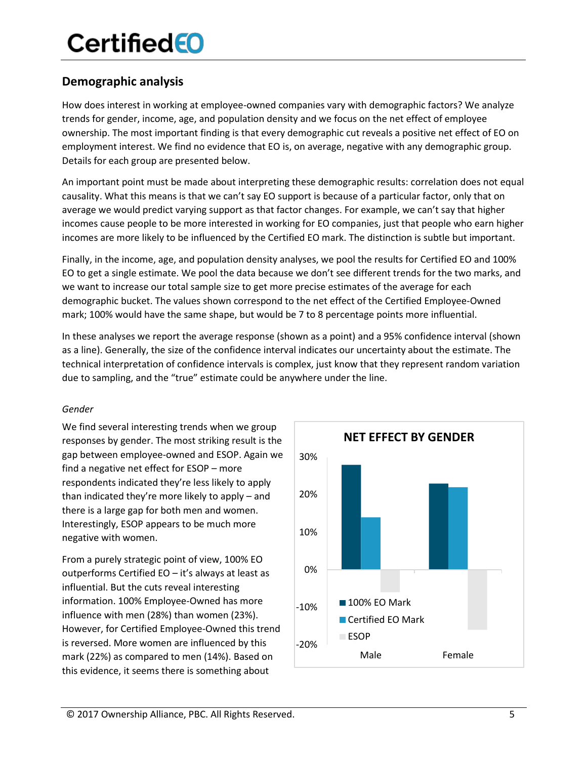### **Demographic analysis**

How does interest in working at employee-owned companies vary with demographic factors? We analyze trends for gender, income, age, and population density and we focus on the net effect of employee ownership. The most important finding is that every demographic cut reveals a positive net effect of EO on employment interest. We find no evidence that EO is, on average, negative with any demographic group. Details for each group are presented below.

An important point must be made about interpreting these demographic results: correlation does not equal causality. What this means is that we can't say EO support is because of a particular factor, only that on average we would predict varying support as that factor changes. For example, we can't say that higher incomes cause people to be more interested in working for EO companies, just that people who earn higher incomes are more likely to be influenced by the Certified EO mark. The distinction is subtle but important.

Finally, in the income, age, and population density analyses, we pool the results for Certified EO and 100% EO to get a single estimate. We pool the data because we don't see different trends for the two marks, and we want to increase our total sample size to get more precise estimates of the average for each demographic bucket. The values shown correspond to the net effect of the Certified Employee-Owned mark; 100% would have the same shape, but would be 7 to 8 percentage points more influential.

In these analyses we report the average response (shown as a point) and a 95% confidence interval (shown as a line). Generally, the size of the confidence interval indicates our uncertainty about the estimate. The technical interpretation of confidence intervals is complex, just know that they represent random variation due to sampling, and the "true" estimate could be anywhere under the line.

#### *Gender*

We find several interesting trends when we group responses by gender. The most striking result is the gap between employee-owned and ESOP. Again we find a negative net effect for ESOP – more respondents indicated they're less likely to apply than indicated they're more likely to apply – and there is a large gap for both men and women. Interestingly, ESOP appears to be much more negative with women.

From a purely strategic point of view, 100% EO outperforms Certified EO – it's always at least as influential. But the cuts reveal interesting information. 100% Employee-Owned has more influence with men (28%) than women (23%). However, for Certified Employee-Owned this trend is reversed. More women are influenced by this mark (22%) as compared to men (14%). Based on this evidence, it seems there is something about

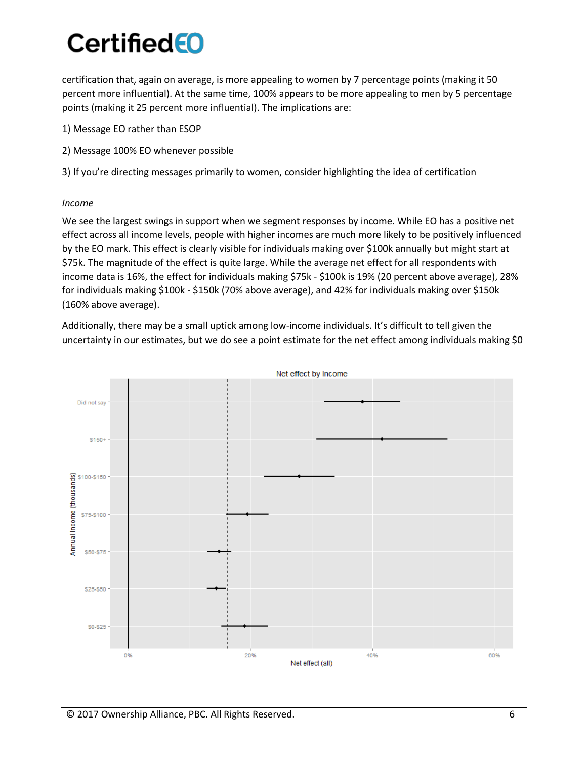certification that, again on average, is more appealing to women by 7 percentage points (making it 50 percent more influential). At the same time, 100% appears to be more appealing to men by 5 percentage points (making it 25 percent more influential). The implications are:

- 1) Message EO rather than ESOP
- 2) Message 100% EO whenever possible

3) If you're directing messages primarily to women, consider highlighting the idea of certification

#### *Income*

We see the largest swings in support when we segment responses by income. While EO has a positive net effect across all income levels, people with higher incomes are much more likely to be positively influenced by the EO mark. This effect is clearly visible for individuals making over \$100k annually but might start at \$75k. The magnitude of the effect is quite large. While the average net effect for all respondents with income data is 16%, the effect for individuals making \$75k - \$100k is 19% (20 percent above average), 28% for individuals making \$100k - \$150k (70% above average), and 42% for individuals making over \$150k (160% above average).

Additionally, there may be a small uptick among low-income individuals. It's difficult to tell given the uncertainty in our estimates, but we do see a point estimate for the net effect among individuals making \$0

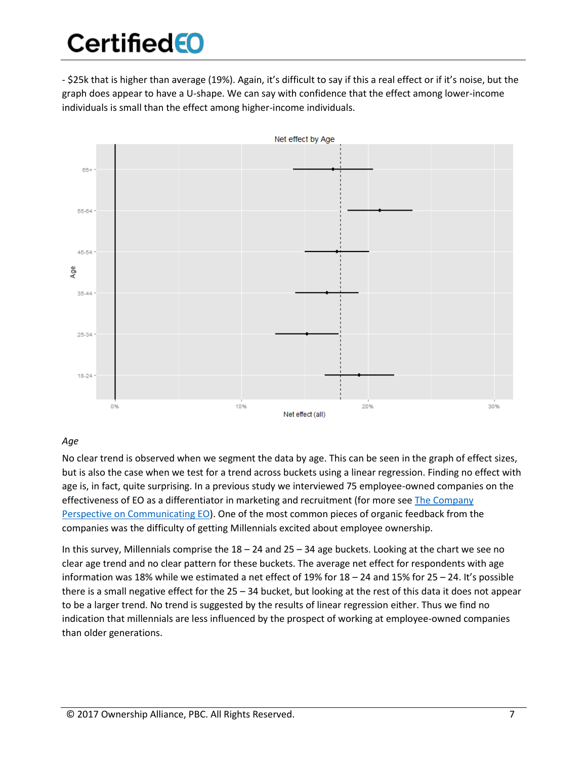- \$25k that is higher than average (19%). Again, it's difficult to say if this a real effect or if it's noise, but the graph does appear to have a U-shape. We can say with confidence that the effect among lower-income individuals is small than the effect among higher-income individuals.



#### *Age*

No clear trend is observed when we segment the data by age. This can be seen in the graph of effect sizes, but is also the case when we test for a trend across buckets using a linear regression. Finding no effect with age is, in fact, quite surprising. In a previous study we interviewed 75 employee-owned companies on the effectiveness of EO as a differentiator in marketing and recruitment (for more see The Company [Perspective on Communicating EO\)](https://www.certifiedeo.com/documents/the-company-perspective-on-communicating-eo). One of the most common pieces of organic feedback from the companies was the difficulty of getting Millennials excited about employee ownership.

In this survey, Millennials comprise the  $18 - 24$  and  $25 - 34$  age buckets. Looking at the chart we see no clear age trend and no clear pattern for these buckets. The average net effect for respondents with age information was 18% while we estimated a net effect of 19% for 18 – 24 and 15% for 25 – 24. It's possible there is a small negative effect for the 25 – 34 bucket, but looking at the rest of this data it does not appear to be a larger trend. No trend is suggested by the results of linear regression either. Thus we find no indication that millennials are less influenced by the prospect of working at employee-owned companies than older generations.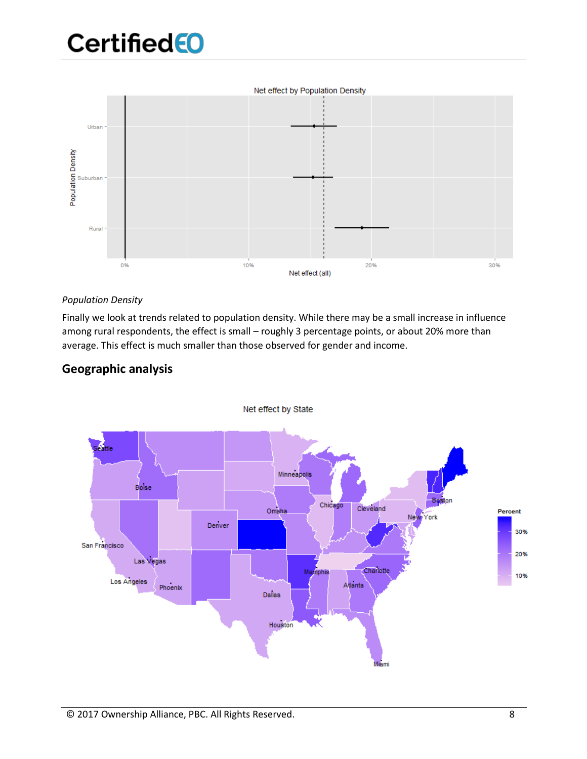Net effect by Population Density



#### *Population Density*

Finally we look at trends related to population density. While there may be a small increase in influence among rural respondents, the effect is small – roughly 3 percentage points, or about 20% more than average. This effect is much smaller than those observed for gender and income.



#### **Geographic analysis**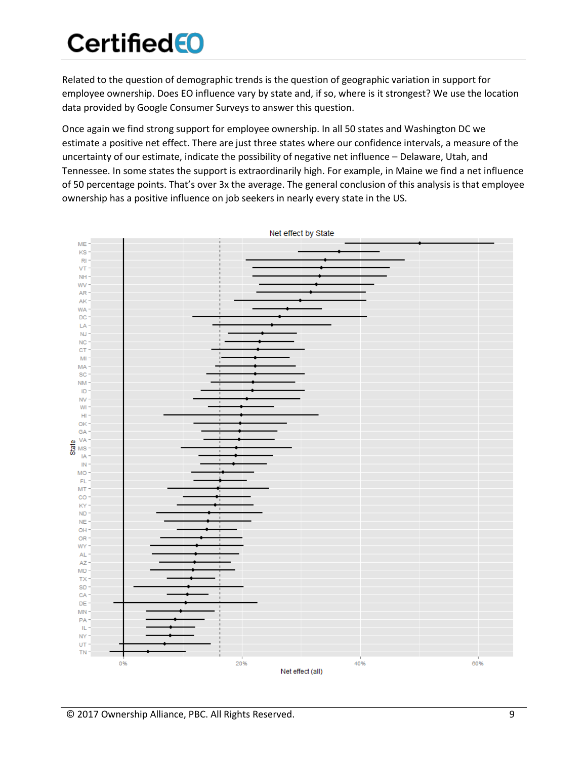Related to the question of demographic trends is the question of geographic variation in support for employee ownership. Does EO influence vary by state and, if so, where is it strongest? We use the location data provided by Google Consumer Surveys to answer this question.

Once again we find strong support for employee ownership. In all 50 states and Washington DC we estimate a positive net effect. There are just three states where our confidence intervals, a measure of the uncertainty of our estimate, indicate the possibility of negative net influence – Delaware, Utah, and Tennessee. In some states the support is extraordinarily high. For example, in Maine we find a net influence of 50 percentage points. That's over 3x the average. The general conclusion of this analysis is that employee ownership has a positive influence on job seekers in nearly every state in the US.